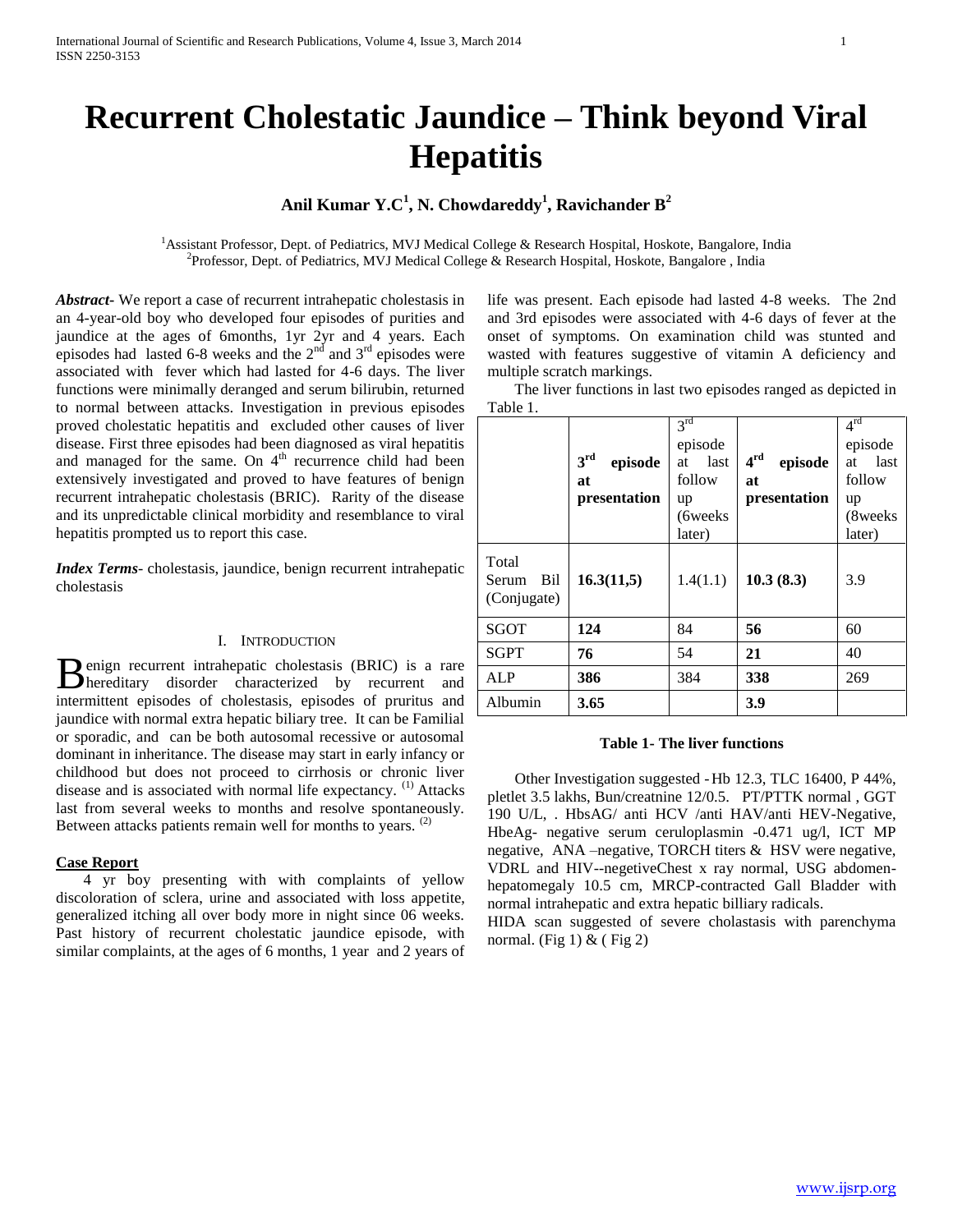# **Recurrent Cholestatic Jaundice – Think beyond Viral Hepatitis**

# **Anil Kumar Y.C<sup>1</sup> , N. Chowdareddy<sup>1</sup> , Ravichander B<sup>2</sup>**

<sup>1</sup>Assistant Professor, Dept. of Pediatrics, MVJ Medical College & Research Hospital, Hoskote, Bangalore, India <sup>2</sup> Professor, Dept. of Pediatrics, MVJ Medical College & Research Hospital, Hoskote, Bangalore, India

*Abstract***-** We report a case of recurrent intrahepatic cholestasis in an 4-year-old boy who developed four episodes of purities and jaundice at the ages of 6months, 1yr 2yr and 4 years. Each episodes had lasted 6-8 weeks and the  $2<sup>nd</sup>$  and  $3<sup>rd</sup>$  episodes were associated with fever which had lasted for 4-6 days. The liver functions were minimally deranged and serum bilirubin, returned to normal between attacks. Investigation in previous episodes proved cholestatic hepatitis and excluded other causes of liver disease. First three episodes had been diagnosed as viral hepatitis and managed for the same. On 4<sup>th</sup> recurrence child had been extensively investigated and proved to have features of benign recurrent intrahepatic cholestasis (BRIC). Rarity of the disease and its unpredictable clinical morbidity and resemblance to viral hepatitis prompted us to report this case.

*Index Terms*- cholestasis, jaundice, benign recurrent intrahepatic cholestasis

## I. INTRODUCTION

enign recurrent intrahepatic cholestasis (BRIC) is a rare Benign recurrent intrahepatic cholestasis (BRIC) is a rare hereditary disorder characterized by recurrent and intermittent episodes of cholestasis, episodes of pruritus and jaundice with normal extra hepatic biliary tree. It can be Familial or sporadic, and can be both autosomal recessive or autosomal dominant in inheritance. The disease may start in early infancy or childhood but does not proceed to cirrhosis or chronic liver disease and is associated with normal life expectancy. (1) Attacks last from several weeks to months and resolve spontaneously. Between attacks patients remain well for months to years.  $(2)$ 

### **Case Report**

 4 yr boy presenting with with complaints of yellow discoloration of sclera, urine and associated with loss appetite, generalized itching all over body more in night since 06 weeks. Past history of recurrent cholestatic jaundice episode, with similar complaints, at the ages of 6 months, 1 year and 2 years of

life was present. Each episode had lasted 4-8 weeks. The 2nd and 3rd episodes were associated with 4-6 days of fever at the onset of symptoms. On examination child was stunted and wasted with features suggestive of vitamin A deficiency and multiple scratch markings.

 The liver functions in last two episodes ranged as depicted in Table 1.

|                                      | 3 <sup>rd</sup><br>episode<br>at<br>presentation | $3^{rd}$<br>episode<br>last<br>at<br>follow<br>up<br>(6weeks)<br>later) | $4^{\rm rd}$<br>episode<br>at<br>presentation | $4^{\text{rd}}$<br>episode<br>last<br>at<br>follow<br>up<br>(8weeks)<br>later) |
|--------------------------------------|--------------------------------------------------|-------------------------------------------------------------------------|-----------------------------------------------|--------------------------------------------------------------------------------|
| Total<br>Bil<br>Serum<br>(Conjugate) | 16.3(11,5)                                       | 1.4(1.1)                                                                | 10.3(8.3)                                     | 3.9                                                                            |
| <b>SGOT</b>                          | 124                                              | 84                                                                      | 56                                            | 60                                                                             |
| <b>SGPT</b>                          | 76                                               | 54                                                                      | 21                                            | 40                                                                             |
| <b>ALP</b>                           | 386                                              | 384                                                                     | 338                                           | 269                                                                            |
| Albumin                              | 3.65                                             |                                                                         | 3.9                                           |                                                                                |

### **Table 1- The liver functions**

 Other Investigation suggested -Hb 12.3, TLC 16400, P 44%, pletlet 3.5 lakhs, Bun/creatnine 12/0.5. PT/PTTK normal , GGT 190 U/L, . HbsAG/ anti HCV /anti HAV/anti HEV-Negative, HbeAg- negative serum ceruloplasmin -0.471 ug/l, ICT MP negative, ANA –negative, TORCH titers & HSV were negative, VDRL and HIV--negetiveChest x ray normal, USG abdomenhepatomegaly 10.5 cm, MRCP-contracted Gall Bladder with normal intrahepatic and extra hepatic billiary radicals.

HIDA scan suggested of severe cholastasis with parenchyma normal. (Fig 1)  $&$  (Fig 2)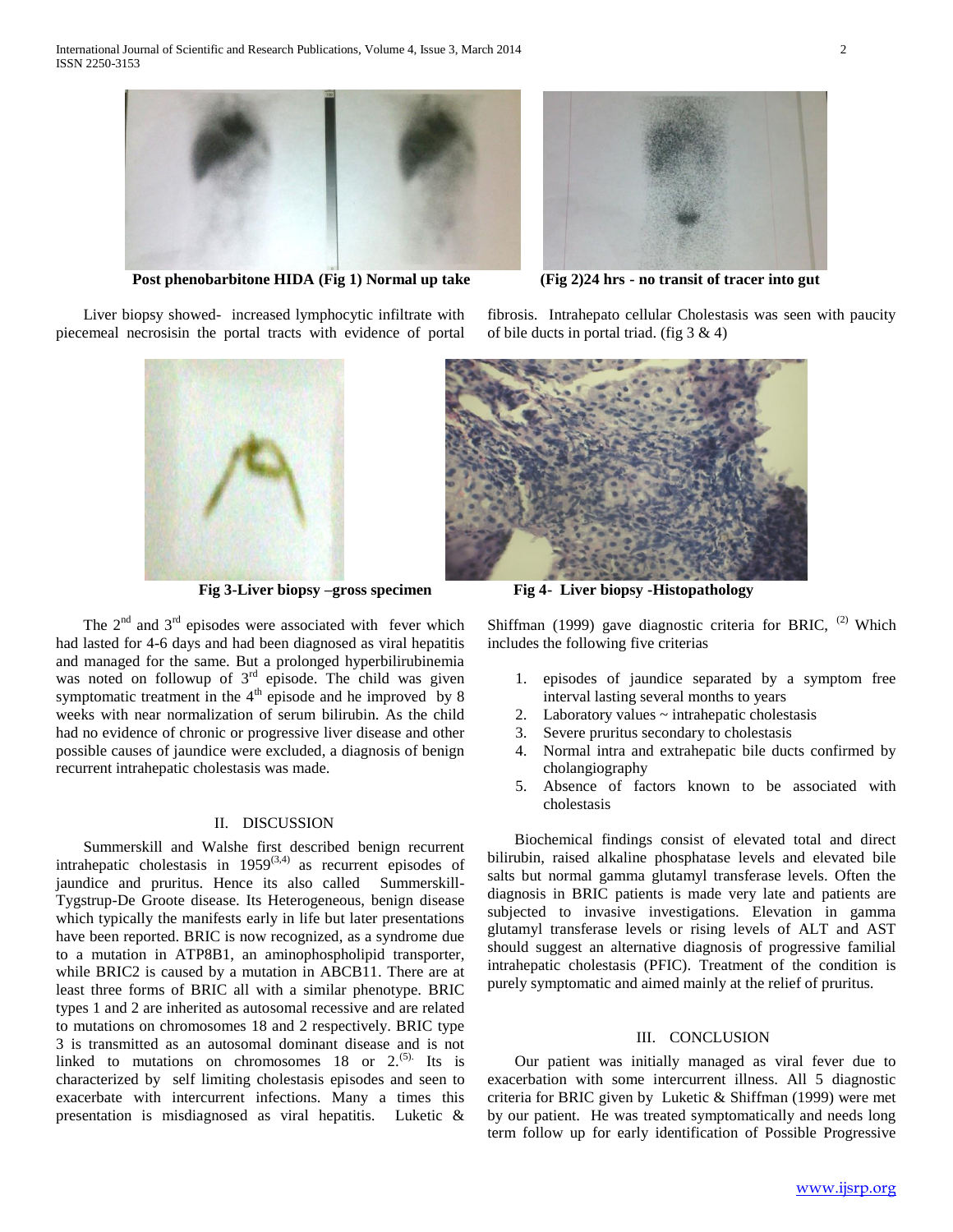

**Post phenobarbitone HIDA (Fig 1) Normal up take (Fig 2)24 hrs - no transit of tracer into gut**

 Liver biopsy showed- increased lymphocytic infiltrate with piecemeal necrosisin the portal tracts with evidence of portal



The  $2<sup>nd</sup>$  and  $3<sup>rd</sup>$  episodes were associated with fever which had lasted for 4-6 days and had been diagnosed as viral hepatitis and managed for the same. But a prolonged hyperbilirubinemia was noted on followup of  $3<sup>rd</sup>$  episode. The child was given symptomatic treatment in the  $4<sup>th</sup>$  episode and he improved by 8 weeks with near normalization of serum bilirubin. As the child had no evidence of chronic or progressive liver disease and other possible causes of jaundice were excluded, a diagnosis of benign recurrent intrahepatic cholestasis was made.

#### II. DISCUSSION

 Summerskill and Walshe first described benign recurrent intrahepatic cholestasis in  $1959^{(3,4)}$  as recurrent episodes of jaundice and pruritus. Hence its also called Summerskill-Tygstrup-De Groote disease. Its Heterogeneous, benign disease which typically the manifests early in life but later presentations have been reported. BRIC is now recognized, as a syndrome due to a mutation in ATP8B1, an aminophospholipid transporter, while BRIC2 is caused by a mutation in ABCB11. There are at least three forms of BRIC all with a similar phenotype. BRIC types 1 and 2 are inherited as autosomal recessive and are related to mutations on chromosomes 18 and 2 respectively. BRIC type 3 is transmitted as an autosomal dominant disease and is not linked to mutations on chromosomes  $18$  or  $2^{(5)}$ . Its is characterized by self limiting cholestasis episodes and seen to exacerbate with intercurrent infections. Many a times this presentation is misdiagnosed as viral hepatitis. Luketic &



fibrosis. Intrahepato cellular Cholestasis was seen with paucity of bile ducts in portal triad. (fig  $3 \& 4$ )



**Fig 3-Liver biopsy –gross specimen Fig 4- Liver biopsy -Histopathology**

Shiffman (1999) gave diagnostic criteria for BRIC,  $(2)$  Which includes the following five criterias

- 1. episodes of jaundice separated by a symptom free interval lasting several months to years
- 2. Laboratory values ~ intrahepatic cholestasis
- 3. Severe pruritus secondary to cholestasis
- 4. Normal intra and extrahepatic bile ducts confirmed by cholangiography
- 5. Absence of factors known to be associated with cholestasis

 Biochemical findings consist of elevated total and direct bilirubin, raised alkaline phosphatase levels and elevated bile salts but normal gamma glutamyl transferase levels. Often the diagnosis in BRIC patients is made very late and patients are subjected to invasive investigations. Elevation in gamma glutamyl transferase levels or rising levels of ALT and AST should suggest an alternative diagnosis of progressive familial intrahepatic cholestasis (PFIC). Treatment of the condition is purely symptomatic and aimed mainly at the relief of pruritus.

#### III. CONCLUSION

 Our patient was initially managed as viral fever due to exacerbation with some intercurrent illness. All 5 diagnostic criteria for BRIC given by Luketic & Shiffman (1999) were met by our patient. He was treated symptomatically and needs long term follow up for early identification of Possible Progressive